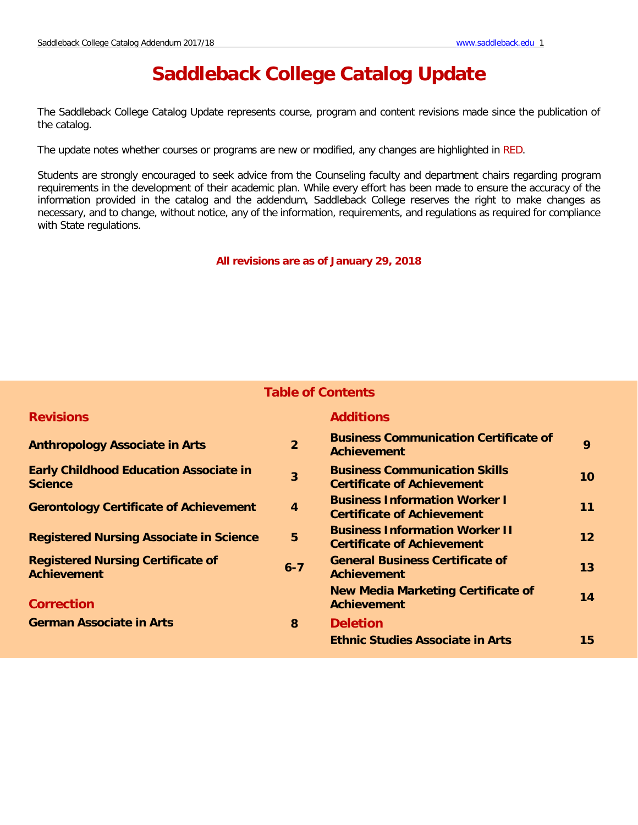# **Saddleback College Catalog Update**

The Saddleback College Catalog Update represents course, program and content revisions made since the publication of the catalog.

The update notes whether courses or programs are new or modified, any changes are highlighted in RED.

Students are strongly encouraged to seek advice from the Counseling faculty and department chairs regarding program requirements in the development of their academic plan. While every effort has been made to ensure the accuracy of the information provided in the catalog and the addendum, Saddleback College reserves the right to make changes as necessary, and to change, without notice, any of the information, requirements, and regulations as required for compliance with State regulations.

**All revisions are as of January 29, 2018**

# **Table of Contents**

| <b>Revisions</b>                                                |                  | <b>Additions</b>                                                           |                 |
|-----------------------------------------------------------------|------------------|----------------------------------------------------------------------------|-----------------|
| <b>Anthropology Associate in Arts</b>                           | $\overline{2}$   | <b>Business Communication Certificate of</b><br><b>Achievement</b>         | 9               |
| <b>Early Childhood Education Associate in</b><br><b>Science</b> | $\overline{3}$   | <b>Business Communication Skills</b><br><b>Certificate of Achievement</b>  | 10 <sup>°</sup> |
| <b>Gerontology Certificate of Achievement</b>                   | $\boldsymbol{4}$ | <b>Business Information Worker I</b><br><b>Certificate of Achievement</b>  | 11              |
| <b>Registered Nursing Associate in Science</b>                  | 5                | <b>Business Information Worker II</b><br><b>Certificate of Achievement</b> | 12 <sup>2</sup> |
| <b>Registered Nursing Certificate of</b><br><b>Achievement</b>  | $6 - 7$          | <b>General Business Certificate of</b><br><b>Achievement</b>               | 13              |
| <b>Correction</b>                                               |                  | <b>New Media Marketing Certificate of</b><br><b>Achievement</b>            | 14              |
| <b>German Associate in Arts</b>                                 | 8                | <b>Deletion</b>                                                            |                 |
|                                                                 |                  | <b>Ethnic Studies Associate in Arts</b>                                    | 15              |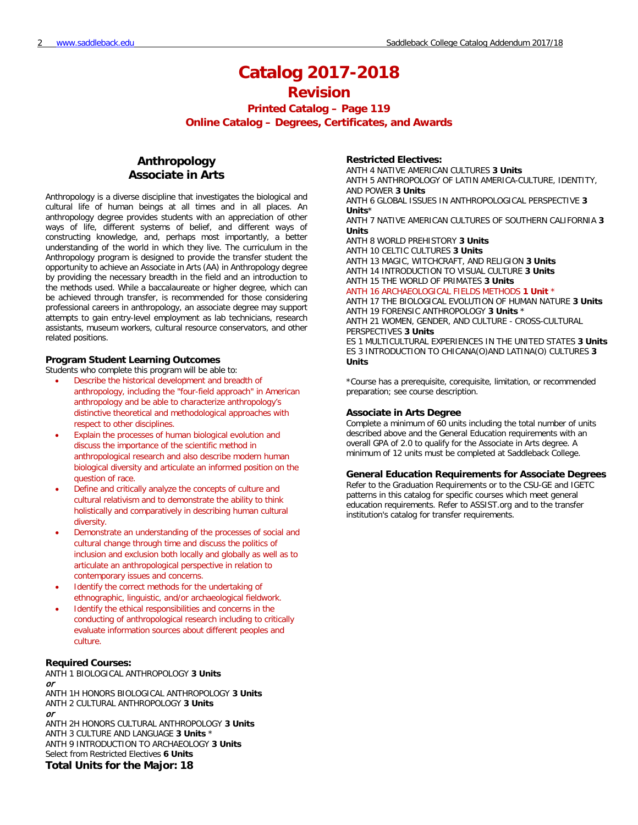**Printed Catalog – Page 119**

**Online Catalog – Degrees, Certificates, and Awards**

# **Anthropology Associate in Arts**

Anthropology is a diverse discipline that investigates the biological and cultural life of human beings at all times and in all places. An anthropology degree provides students with an appreciation of other ways of life, different systems of belief, and different ways of constructing knowledge, and, perhaps most importantly, a better understanding of the world in which they live. The curriculum in the Anthropology program is designed to provide the transfer student the opportunity to achieve an Associate in Arts (AA) in Anthropology degree by providing the necessary breadth in the field and an introduction to the methods used. While a baccalaureate or higher degree, which can be achieved through transfer, is recommended for those considering professional careers in anthropology, an associate degree may support attempts to gain entry-level employment as lab technicians, research assistants, museum workers, cultural resource conservators, and other related positions.

### **Program Student Learning Outcomes**

Students who complete this program will be able to:

- Describe the historical development and breadth of anthropology, including the "four-field approach" in American anthropology and be able to characterize anthropology's distinctive theoretical and methodological approaches with respect to other disciplines.
- Explain the processes of human biological evolution and discuss the importance of the scientific method in anthropological research and also describe modern human biological diversity and articulate an informed position on the question of race.
- Define and critically analyze the concepts of culture and cultural relativism and to demonstrate the ability to think holistically and comparatively in describing human cultural diversity.
- Demonstrate an understanding of the processes of social and cultural change through time and discuss the politics of inclusion and exclusion both locally and globally as well as to articulate an anthropological perspective in relation to contemporary issues and concerns.
- Identify the correct methods for the undertaking of ethnographic, linguistic, and/or archaeological fieldwork.
- Identify the ethical responsibilities and concerns in the conducting of anthropological research including to critically evaluate information sources about different peoples and culture.

### **Required Courses:**

ANTH 1 BIOLOGICAL ANTHROPOLOGY **3 Units** or ANTH 1H HONORS BIOLOGICAL ANTHROPOLOGY **3 Units** ANTH 2 CULTURAL ANTHROPOLOGY **3 Units** or ANTH 2H HONORS CULTURAL ANTHROPOLOGY **3 Units** ANTH 3 CULTURE AND LANGUAGE **3 Units** \* ANTH 9 INTRODUCTION TO ARCHAEOLOGY **3 Units** Select from Restricted Electives **6 Units Total Units for the Major: 18**

### **Restricted Electives:**

ANTH 4 NATIVE AMERICAN CULTURES **3 Units** ANTH 5 ANTHROPOLOGY OF LATIN AMERICA-CULTURE, IDENTITY, AND POWER **3 Units** ANTH 6 GLOBAL ISSUES IN ANTHROPOLOGICAL PERSPECTIVE **3** 

**Units**\* ANTH 7 NATIVE AMERICAN CULTURES OF SOUTHERN CALIFORNIA **3 Units**

ANTH 8 WORLD PREHISTORY **3 Units**

ANTH 10 CELTIC CULTURES **3 Units** ANTH 13 MAGIC, WITCHCRAFT, AND RELIGION **3 Units** ANTH 14 INTRODUCTION TO VISUAL CULTURE **3 Units** ANTH 15 THE WORLD OF PRIMATES **3 Units**

ANTH 16 ARCHAEOLOGICAL FIELDS METHODS **1 Unit** \*

ANTH 17 THE BIOLOGICAL EVOLUTION OF HUMAN NATURE **3 Units** ANTH 19 FORENSIC ANTHROPOLOGY **3 Units** \* ANTH 21 WOMEN, GENDER, AND CULTURE - CROSS-CULTURAL PERSPECTIVES **3 Units** ES 1 MULTICULTURAL EXPERIENCES IN THE UNITED STATES **3 Units**

ES 3 INTRODUCTION TO CHICANA(O)AND LATINA(O) CULTURES **3 Units**

\*Course has a prerequisite, corequisite, limitation, or recommended preparation; see course description.

### **Associate in Arts Degree**

Complete a minimum of 60 units including the total number of units described above and the General Education requirements with an overall GPA of 2.0 to qualify for the Associate in Arts degree. A minimum of 12 units must be completed at Saddleback College.

### **General Education Requirements for Associate Degrees**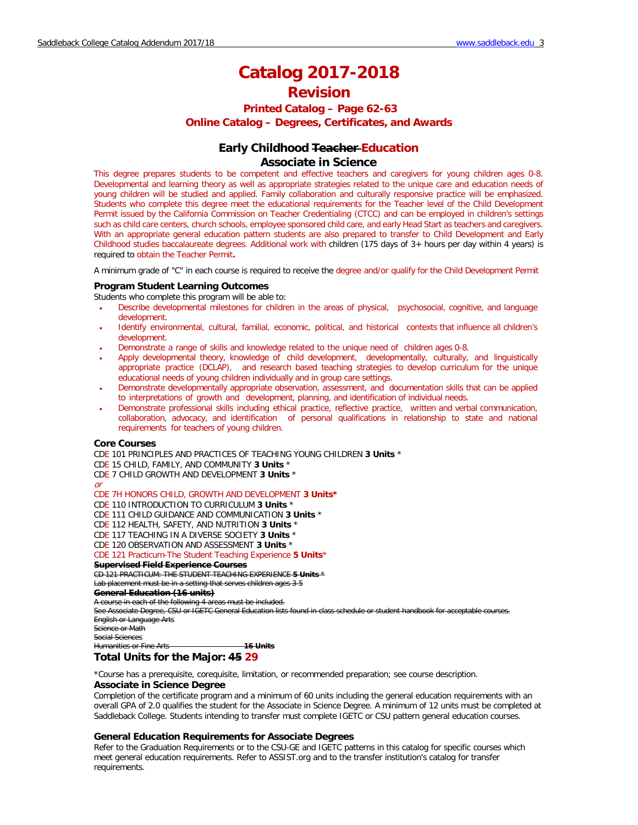# **Printed Catalog – Page 62-63 Online Catalog – Degrees, Certificates, and Awards**

## **Early Childhood Teacher Education Associate in Science**

This degree prepares students to be competent and effective teachers and caregivers for young children ages 0-8. Developmental and learning theory as well as appropriate strategies related to the unique care and education needs of young children will be studied and applied. Family collaboration and culturally responsive practice will be emphasized. Students who complete this degree meet the educational requirements for the Teacher level of the Child Development Permit issued by the California Commission on Teacher Credentialing (CTCC) and can be employed in children's settings such as child care centers, church schools, employee sponsored child care, and early Head Start as teachers and caregivers. With an appropriate general education pattern students are also prepared to transfer to Child Development and Early Childhood studies baccalaureate degrees. Additional work with children (175 days of 3+ hours per day within 4 years) is required to obtain the Teacher Permit**.** 

A minimum grade of "C" in each course is required to receive the degree and/or qualify for the Child Development Permit

### **Program Student Learning Outcomes**

Students who complete this program will be able to:

- Describe developmental milestones for children in the areas of physical, psychosocial, cognitive, and language development.
- Identify environmental, cultural, familial, economic, political, and historical contexts that influence all children's development.
- Demonstrate a range of skills and knowledge related to the unique need of children ages 0-8.
- Apply developmental theory, knowledge of child development, developmentally, culturally, and linguistically appropriate practice (DCLAP), and research based teaching strategies to develop curriculum for the unique educational needs of young children individually and in group care settings.
- Demonstrate developmentally appropriate observation, assessment, and documentation skills that can be applied to interpretations of growth and development, planning, and identification of individual needs.
- Demonstrate professional skills including ethical practice, reflective practice, written and verbal communication, collaboration, advocacy, and identification of personal qualifications in relationship to state and national requirements for teachers of young children.

### **Core Courses**

CDE 101 PRINCIPLES AND PRACTICES OF TEACHING YOUNG CHILDREN **3 Units** \*

- CDE 15 CHILD, FAMILY, AND COMMUNITY **3 Units** \*
- CDE 7 CHILD GROWTH AND DEVELOPMENT **3 Units** \*
- or

### CDE 7H HONORS CHILD, GROWTH AND DEVELOPMENT **3 Units\***

CDE 110 INTRODUCTION TO CURRICULUM **3 Units** \*

CDE 111 CHILD GUIDANCE AND COMMUNICATION **3 Units** \*

CDE 112 HEALTH, SAFETY, AND NUTRITION **3 Units** \*

CDE 117 TEACHING IN A DIVERSE SOCIETY **3 Units** \*

CDE 120 OBSERVATION AND ASSESSMENT **3 Units** \*

### CDE 121 Practicum-The Student Teaching Experience **5 Units**\*

**Supervised Field Experience Courses**

CD 121 PRACTICUM: THE STUDENT TEACHING EXPERIENCE **5 Units** \*

Lab placement must be in a setting that serves children ages 3-5

### **General Education (16 units)**

A course in each of the following 4 areas must be included.

See Associate Degree, CSU or IGETC General Education lists found in class schedule or student handbook for acceptable cours

English or Language Arts Science or Math Social Sciences

Humanities or Fine Arts **16 Units**

## **Total Units for the Major: 45 29**

\*Course has a prerequisite, corequisite, limitation, or recommended preparation; see course description.

## **Associate in Science Degree**

Completion of the certificate program and a minimum of 60 units including the general education requirements with an overall GPA of 2.0 qualifies the student for the Associate in Science Degree. A minimum of 12 units must be completed at Saddleback College. Students intending to transfer must complete IGETC or CSU pattern general education courses.

### **General Education Requirements for Associate Degrees**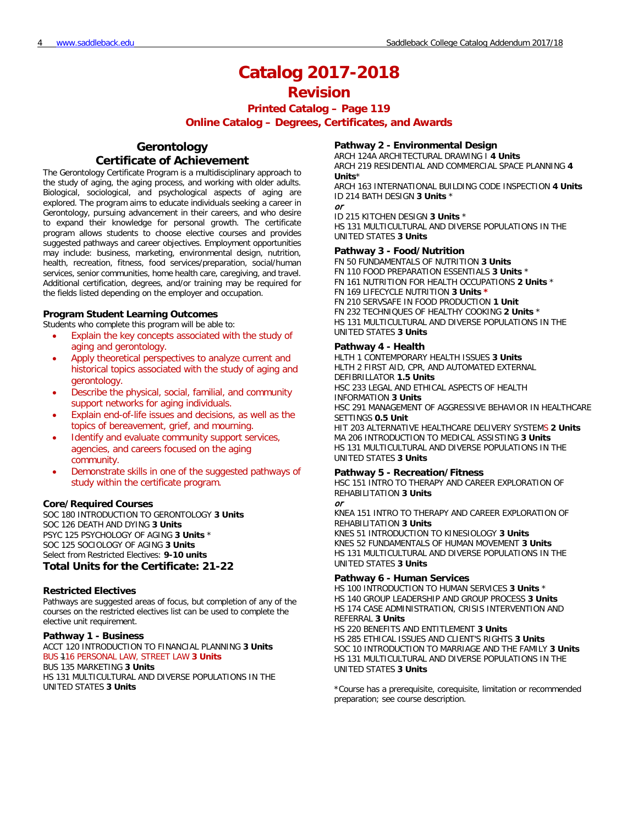**Printed Catalog – Page 119**

**Online Catalog – Degrees, Certificates, and Awards**

# **Gerontology Certificate of Achievement**

The Gerontology Certificate Program is a multidisciplinary approach to the study of aging, the aging process, and working with older adults. Biological, sociological, and psychological aspects of aging are explored. The program aims to educate individuals seeking a career in Gerontology, pursuing advancement in their careers, and who desire to expand their knowledge for personal growth. The certificate program allows students to choose elective courses and provides suggested pathways and career objectives. Employment opportunities may include: business, marketing, environmental design, nutrition, health, recreation, fitness, food services/preparation, social/human services, senior communities, home health care, caregiving, and travel. Additional certification, degrees, and/or training may be required for the fields listed depending on the employer and occupation.

### **Program Student Learning Outcomes**

Students who complete this program will be able to:

- Explain the key concepts associated with the study of aging and gerontology.
- Apply theoretical perspectives to analyze current and historical topics associated with the study of aging and gerontology.
- Describe the physical, social, familial, and community support networks for aging individuals.
- Explain end-of-life issues and decisions, as well as the topics of bereavement, grief, and mourning.
- Identify and evaluate community support services, agencies, and careers focused on the aging community.
- Demonstrate skills in one of the suggested pathways of study within the certificate program.

### **Core/Required Courses**

SOC 180 INTRODUCTION TO GERONTOLOGY **3 Units** SOC 126 DEATH AND DYING **3 Units** PSYC 125 PSYCHOLOGY OF AGING **3 Units** \* SOC 125 SOCIOLOGY OF AGING **3 Units** Select from Restricted Electives: **9-10 units**

## **Total Units for the Certificate: 21-22**

### **Restricted Electives**

Pathways are suggested areas of focus, but completion of any of the courses on the restricted electives list can be used to complete the elective unit requirement.

## **Pathway 1 - Business**

ACCT 120 INTRODUCTION TO FINANCIAL PLANNING **3 Units** BUS 116 PERSONAL LAW, STREET LAW **3 Units** BUS 135 MARKETING **3 Units**

HS 131 MULTICULTURAL AND DIVERSE POPULATIONS IN THE UNITED STATES **3 Units**

### **Pathway 2 - Environmental Design**

ARCH 124A ARCHITECTURAL DRAWING I **4 Units** ARCH 219 RESIDENTIAL AND COMMERCIAL SPACE PLANNING **4 Units**\*

ARCH 163 INTERNATIONAL BUILDING CODE INSPECTION **4 Units** ID 214 BATH DESIGN **3 Units** \*

or

ID 215 KITCHEN DESIGN **3 Units** \* HS 131 MULTICULTURAL AND DIVERSE POPULATIONS IN THE UNITED STATES **3 Units**

### **Pathway 3 - Food/Nutrition**

FN 50 FUNDAMENTALS OF NUTRITION **3 Units** FN 110 FOOD PREPARATION ESSENTIALS **3 Units** \* FN 161 NUTRITION FOR HEALTH OCCUPATIONS **2 Units** \* FN 169 LIFECYCLE NUTRITION **3 Units \*** FN 210 SERVSAFE IN FOOD PRODUCTION **1 Unit** FN 232 TECHNIQUES OF HEALTHY COOKING **2 Units** \* HS 131 MULTICULTURAL AND DIVERSE POPULATIONS IN THE UNITED STATES **3 Units**

### **Pathway 4 - Health**

HLTH 1 CONTEMPORARY HEALTH ISSUES **3 Units** HLTH 2 FIRST AID, CPR, AND AUTOMATED EXTERNAL DEFIBRILLATOR **1.5 Units** HSC 233 LEGAL AND ETHICAL ASPECTS OF HEALTH INFORMATION **3 Units** HSC 291 MANAGEMENT OF AGGRESSIVE BEHAVIOR IN HEALTHCARE SETTINGS **0.5 Unit** HIT 203 ALTERNATIVE HEALTHCARE DELIVERY SYSTEMS **2 Units** MA 206 INTRODUCTION TO MEDICAL ASSISTING **3 Units** HS 131 MULTICULTURAL AND DIVERSE POPULATIONS IN THE UNITED STATES **3 Units**

### **Pathway 5 - Recreation/Fitness**

HSC 151 INTRO TO THERAPY AND CAREER EXPLORATION OF REHABILITATION **3 Units** or

KNEA 151 INTRO TO THERAPY AND CAREER EXPLORATION OF REHABILITATION **3 Units** KNES 51 INTRODUCTION TO KINESIOLOGY **3 Units** KNES 52 FUNDAMENTALS OF HUMAN MOVEMENT **3 Units** HS 131 MULTICULTURAL AND DIVERSE POPULATIONS IN THE UNITED STATES **3 Units**

### **Pathway 6 - Human Services**

HS 100 INTRODUCTION TO HUMAN SERVICES **3 Units** \* HS 140 GROUP LEADERSHIP AND GROUP PROCESS **3 Units** HS 174 CASE ADMINISTRATION, CRISIS INTERVENTION AND REFERRAL **3 Units**

HS 220 BENEFITS AND ENTITLEMENT **3 Units** HS 285 ETHICAL ISSUES AND CLIENT'S RIGHTS **3 Units** SOC 10 INTRODUCTION TO MARRIAGE AND THE FAMILY **3 Units** HS 131 MULTICULTURAL AND DIVERSE POPULATIONS IN THE UNITED STATES **3 Units**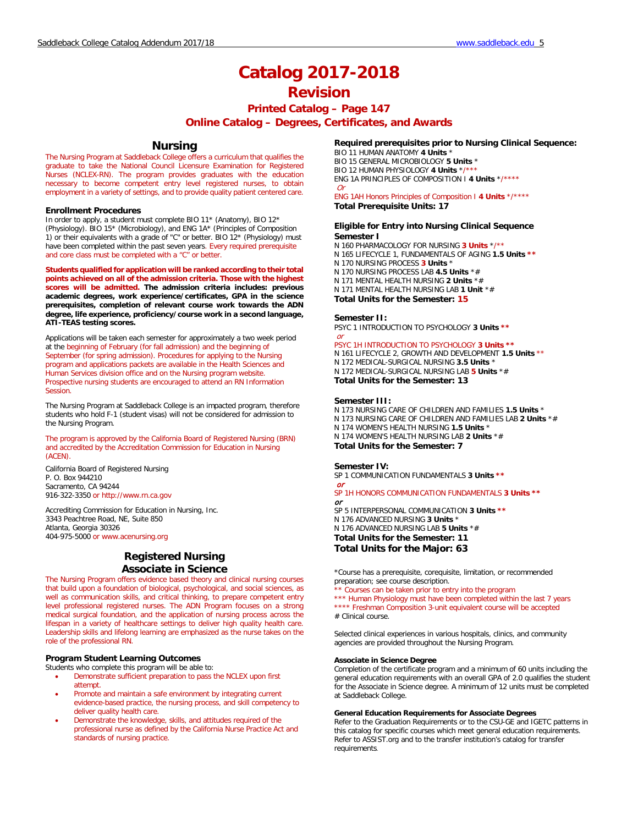# **Printed Catalog – Page 147**

## **Online Catalog – Degrees, Certificates, and Awards**

## **Nursing**

The Nursing Program at Saddleback College offers a curriculum that qualifies the graduate to take the National Council Licensure Examination for Registered Nurses (NCLEX-RN). The program provides graduates with the education necessary to become competent entry level registered nurses, to obtain employment in a variety of settings, and to provide quality patient centered care.

#### **Enrollment Procedures**

In order to apply, a student must complete BIO 11\* (Anatomy), BIO 12\* (Physiology). BIO 15\* (Microbiology), and ENG 1A\* (Principles of Composition 1) or their equivalents with a grade of "C" or better. BIO 12\* (Physiology) must have been completed within the past seven years. Every required prerequisite and core class must be completed with a "C" or better.

**Students qualified for application will be ranked according to their total points achieved on all of the admission criteria. Those with the highest scores will be admitted. The admission criteria includes: previous academic degrees, work experience/certificates, GPA in the science prerequisites, completion of relevant course work towards the ADN degree, life experience, proficiency/course work in a second language, ATI-TEAS testing scores.**

Applications will be taken each semester for approximately a two week period at the beginning of February (for fall admission) and the beginning of September (for spring admission). Procedures for applying to the Nursing program and applications packets are available in the Health Sciences and Human Services division office and on the Nursing program website. Prospective nursing students are encouraged to attend an RN Information Session.

The Nursing Program at Saddleback College is an impacted program, therefore students who hold F-1 (student visas) will not be considered for admission to the Nursing Program.

The program is approved by the California Board of Registered Nursing (BRN) and accredited by the Accreditation Commission for Education in Nursing (ACEN).

California Board of Registered Nursing P. O. Box 944210 Sacramento, CA 94244 916-322-3350 or http://www.rn.ca.gov

Accrediting Commission for Education in Nursing, Inc. 3343 Peachtree Road, NE, Suite 850 Atlanta, Georgia 30326 404-975-5000 or www.acenursing.org

## **Registered Nursing Associate in Science**

The Nursing Program offers evidence based theory and clinical nursing courses that build upon a foundation of biological, psychological, and social sciences, as well as communication skills, and critical thinking, to prepare competent entry level professional registered nurses. The ADN Program focuses on a strong medical surgical foundation, and the application of nursing process across the lifespan in a variety of healthcare settings to deliver high quality health care. Leadership skills and lifelong learning are emphasized as the nurse takes on the role of the professional RN.

## **Program Student Learning Outcomes**

Students who complete this program will be able to:

- Demonstrate sufficient preparation to pass the NCLEX upon first attempt.
- Promote and maintain a safe environment by integrating current evidence-based practice, the nursing process, and skill competency to deliver quality health care.
- Demonstrate the knowledge, skills, and attitudes required of the professional nurse as defined by the California Nurse Practice Act and standards of nursing practice.

## **Required prerequisites prior to Nursing Clinical Sequence:**

BIO 11 HUMAN ANATOMY **4 Units** \* BIO 15 GENERAL MICROBIOLOGY **5 Units** \* BIO 12 HUMAN PHYSIOLOGY 4 Units \*/ ENG 1A PRINCIPLES OF COMPOSITION I **4 Units** \*/\*\*\*\* Or

#### ENG 1AH Honors Principles of Composition I **4 Units** \*/\*\*\*\* **Total Prerequisite Units: 17**

#### **Eligible for Entry into Nursing Clinical Sequence Semester I**

- N 160 PHARMACOLOGY FOR NURSING **3 Units** \*/\*\*
- N 165 LIFECYCLE 1, FUNDAMENTALS OF AGING **1.5 Units \*\***
- N 170 NURSING PROCESS **3 Units** \*
- N 170 NURSING PROCESS LAB **4.5 Units** \*#
- N 171 MENTAL HEALTH NURSING **2 Units** \*#
- N 171 MENTAL HEALTH NURSING LAB **1 Unit** \*#

**Total Units for the Semester: 15**

#### **Semester II:**

PSYC 1 INTRODUCTION TO PSYCHOLOGY **3 Units \*\*** or

### PSYC 1H INTRODUCTION TO PSYCHOLOGY **3 Units \*\***

N 161 LIFECYCLE 2, GROWTH AND DEVELOPMENT **1.5 Units** \*\* N 172 MEDICAL-SURGICAL NURSING **3.5 Units** \* N 172 MEDICAL-SURGICAL NURSING LAB **5 Units** \*# **Total Units for the Semester: 13**

#### **Semester III:**

N 173 NURSING CARE OF CHILDREN AND FAMILIES **1.5 Units** \* N 173 NURSING CARE OF CHILDREN AND FAMILIES LAB **2 Units** \*# N 174 WOMEN'S HEALTH NURSING **1.5 Units** \* N 174 WOMEN'S HEALTH NURSING LAB **2 Units** \*# **Total Units for the Semester: 7**

#### **Semester IV:**

SP 1 COMMUNICATION FUNDAMENTALS **3 Units \*\*** or

SP 1H HONORS COMMUNICATION FUNDAMENTALS **3 Units \*\*** or SP 5 INTERPERSONAL COMMUNICATION **3 Units \*\*** N 176 ADVANCED NURSING **3 Units** \*

N 176 ADVANCED NURSING LAB **5 Units** \*# **Total Units for the Semester: 11**

**Total Units for the Major: 63**

\*Course has a prerequisite, corequisite, limitation, or recommended preparation; see course description.

Courses can be taken prior to entry into the program

\*\*\* Human Physiology must have been completed within the last 7 years \*\*\*\* Freshman Composition 3-unit equivalent course will be accepted

# Clinical course.

Selected clinical experiences in various hospitals, clinics, and community agencies are provided throughout the Nursing Program.

### **Associate in Science Degree**

Completion of the certificate program and a minimum of 60 units including the general education requirements with an overall GPA of 2.0 qualifies the student for the Associate in Science degree. A minimum of 12 units must be completed at Saddleback College.

### **General Education Requirements for Associate Degrees**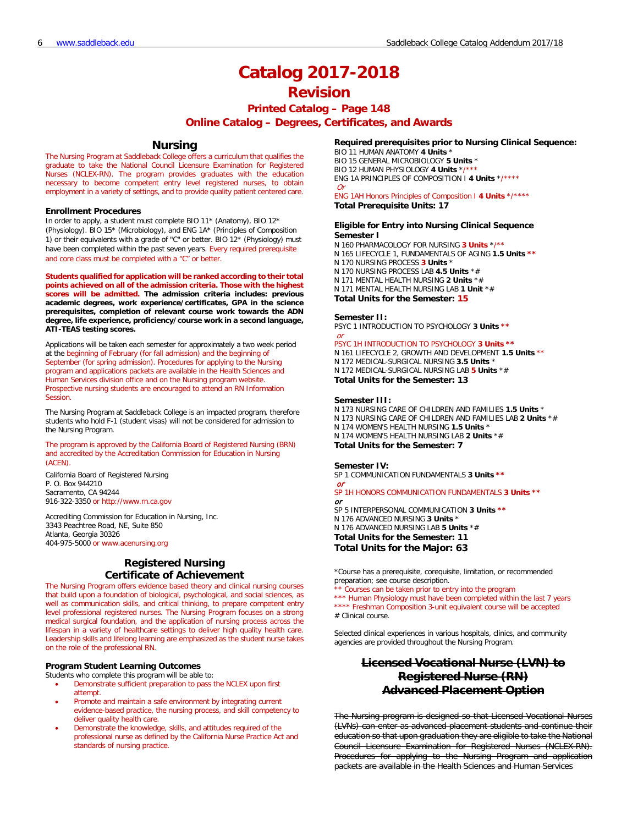# **Printed Catalog – Page 148**

**Online Catalog – Degrees, Certificates, and Awards**

## **Nursing**

The Nursing Program at Saddleback College offers a curriculum that qualifies the graduate to take the National Council Licensure Examination for Registered Nurses (NCLEX-RN). The program provides graduates with the education necessary to become competent entry level registered nurses, to obtain employment in a variety of settings, and to provide quality patient centered care.

#### **Enrollment Procedures**

In order to apply, a student must complete BIO 11\* (Anatomy), BIO 12\* (Physiology). BIO 15\* (Microbiology), and ENG 1A\* (Principles of Composition 1) or their equivalents with a grade of "C" or better. BIO 12\* (Physiology) must have been completed within the past seven years. Every required prerequisite and core class must be completed with a "C" or better.

**Students qualified for application will be ranked according to their total points achieved on all of the admission criteria. Those with the highest scores will be admitted. The admission criteria includes: previous academic degrees, work experience/certificates, GPA in the science prerequisites, completion of relevant course work towards the ADN degree, life experience, proficiency/course work in a second language, ATI-TEAS testing scores.**

Applications will be taken each semester for approximately a two week period at the beginning of February (for fall admission) and the beginning of September (for spring admission). Procedures for applying to the Nursing program and applications packets are available in the Health Sciences and Human Services division office and on the Nursing program website. Prospective nursing students are encouraged to attend an RN Information **Session** 

The Nursing Program at Saddleback College is an impacted program, therefore students who hold F-1 (student visas) will not be considered for admission to the Nursing Program.

The program is approved by the California Board of Registered Nursing (BRN) and accredited by the Accreditation Commission for Education in Nursing (ACEN).

California Board of Registered Nursing P. O. Box 944210 Sacramento, CA 94244 916-322-3350 or http://www.rn.ca.gov

Accrediting Commission for Education in Nursing, Inc. 3343 Peachtree Road, NE, Suite 850 Atlanta, Georgia 30326 404-975-5000 or www.acenursing.org

## **Registered Nursing Certificate of Achievement**

The Nursing Program offers evidence based theory and clinical nursing courses that build upon a foundation of biological, psychological, and social sciences, as well as communication skills, and critical thinking, to prepare competent entry level professional registered nurses. The Nursing Program focuses on a strong medical surgical foundation, and the application of nursing process across the lifespan in a variety of healthcare settings to deliver high quality health care. Leadership skills and lifelong learning are emphasized as the student nurse takes on the role of the professional RN.

### **Program Student Learning Outcomes**

Students who complete this program will be able to:

- Demonstrate sufficient preparation to pass the NCLEX upon first attempt.
- Promote and maintain a safe environment by integrating current evidence-based practice, the nursing process, and skill competency to deliver quality health care.
- Demonstrate the knowledge, skills, and attitudes required of the professional nurse as defined by the California Nurse Practice Act and standards of nursing practice.

### **Required prerequisites prior to Nursing Clinical Sequence:**

BIO 11 HUMAN ANATOMY **4 Units** \* BIO 15 GENERAL MICROBIOLOGY **5 Units** \*

BIO 12 HUMAN PHYSIOLOGY 4 Units \*/

ENG 1A PRINCIPLES OF COMPOSITION I **4 Units** \*/\*\*\*\*

 $\Omega$ ENG 1AH Honors Principles of Composition I **4 Units** \*/\*\*\*\* **Total Prerequisite Units: 17**

#### **Eligible for Entry into Nursing Clinical Sequence Semester I**

N 160 PHARMACOLOGY FOR NURSING **3 Units** \*/\*\* N 165 LIFECYCLE 1, FUNDAMENTALS OF AGING **1.5 Units \*\*** N 170 NURSING PROCESS **3 Units** \* N 170 NURSING PROCESS LAB **4.5 Units** \*# N 171 MENTAL HEALTH NURSING **2 Units** \*# N 171 MENTAL HEALTH NURSING LAB **1 Unit** \*# **Total Units for the Semester: 15**

#### **Semester II:**

PSYC 1 INTRODUCTION TO PSYCHOLOGY **3 Units \*\*** or

### PSYC 1H INTRODUCTION TO PSYCHOLOGY **3 Units \*\***

N 161 LIFECYCLE 2, GROWTH AND DEVELOPMENT **1.5 Units** \*\* N 172 MEDICAL-SURGICAL NURSING **3.5 Units** \* N 172 MEDICAL-SURGICAL NURSING LAB **5 Units** \*# **Total Units for the Semester: 13**

#### **Semester III:**

N 173 NURSING CARE OF CHILDREN AND FAMILIES **1.5 Units** \* N 173 NURSING CARE OF CHILDREN AND FAMILIES LAB **2 Units** \*# N 174 WOMEN'S HEALTH NURSING **1.5 Units** \* N 174 WOMEN'S HEALTH NURSING LAB **2 Units** \*# **Total Units for the Semester: 7**

#### **Semester IV:**

SP 1 COMMUNICATION FUNDAMENTALS **3 Units \*\*** or

### SP 1H HONORS COMMUNICATION FUNDAMENTALS **3 Units \*\*** or SP 5 INTERPERSONAL COMMUNICATION **3 Units \*\*** N 176 ADVANCED NURSING **3 Units** \* N 176 ADVANCED NURSING LAB **5 Units** \*#

**Total Units for the Semester: 11 Total Units for the Major: 63**

\*Course has a prerequisite, corequisite, limitation, or recommended preparation; see course description.

Courses can be taken prior to entry into the program \*\*\* Human Physiology must have been completed within the last 7 years

\*\*\*\* Freshman Composition 3-unit equivalent course will be accepted # Clinical course.

Selected clinical experiences in various hospitals, clinics, and community agencies are provided throughout the Nursing Program.

# **Licensed Vocational Nurse (LVN) to Registered Nurse (RN) Advanced Placement Option**

The Nursing program is designed so that Licensed Vocational Nurses (LVNs) can enter as advanced placement students and continue their education so that upon graduation they are eligible to take the National Council Licensure Examination for Registered Nurses (NCLEX-RN). Procedures for applying to the Nursing Program and application packets are available in the Health Sciences and Human Services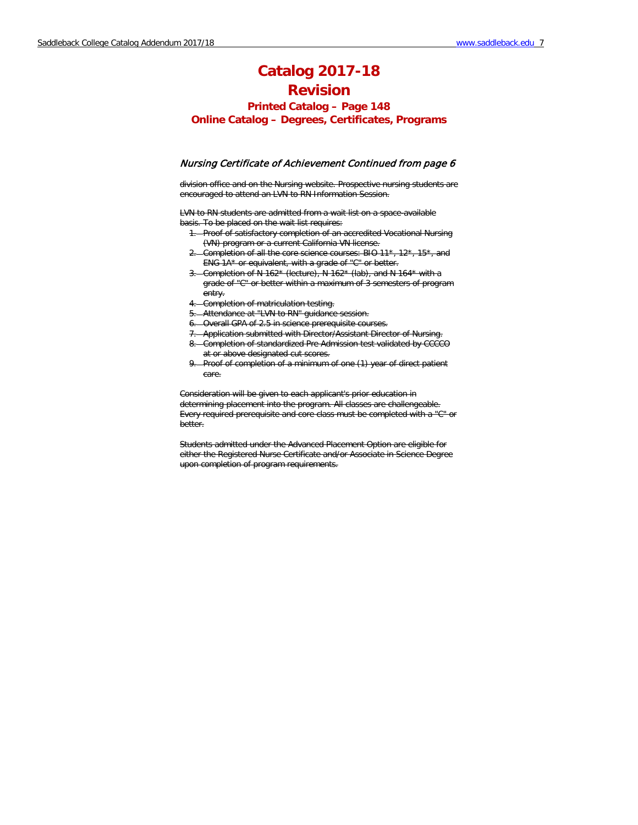**Printed Catalog – Page 148 Online Catalog – Degrees, Certificates, Programs**

### Nursing Certificate of Achievement Continued from page 6

division office and on the Nursing website. Prospective nursing students are encouraged to attend an LVN to RN Information Session.

LVN to RN students are admitted from a wait list on a space-available basis. To be placed on the wait list requires:

- 1. Proof of satisfactory completion of an accredited Vocational Nursing (VN) program or a current California VN license.
- 2. Completion of all the core science courses: BIO 11\*, 12\*, 15\*, and ENG 1A\* or equivalent, with a grade of "C" or better.
- 3. Completion of N 162\* (lecture), N 162\* (lab), and N 164\* with a grade of "C" or better within a maximum of 3 semesters of program entry.
- 4. Completion of matriculation testing.
- 5. Attendance at "LVN to RN" guidance session.
- 6. Overall GPA of 2.5 in science prerequisite courses.
- 7. Application submitted with Director/Assistant Director of Nursing.
- 8. Completion of standardized Pre Admission test validated by CCCCO at or above designated cut scores.
- 9. Proof of completion of a minimum of one (1) year of direct patient care.

Consideration will be given to each applicant's prior education in determining placement into the program. All classes are challengeable. Every required prerequisite and core class must be completed with a "C" or better.

Students admitted under the Advanced Placement Option are eligible for either the Registered Nurse Certificate and/or Associate in Science Degree upon completion of program requirements.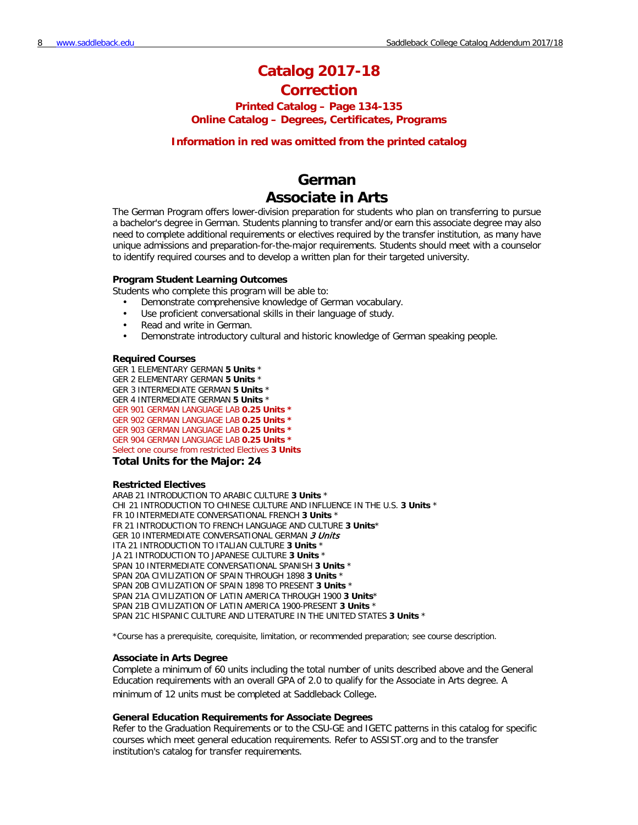# **Catalog 2017-18 Correction**

# **Printed Catalog – Page 134-135 Online Catalog – Degrees, Certificates, Programs**

## **Information in red was omitted from the printed catalog**

# **German Associate in Arts**

The German Program offers lower-division preparation for students who plan on transferring to pursue a bachelor's degree in German. Students planning to transfer and/or earn this associate degree may also need to complete additional requirements or electives required by the transfer institution, as many have unique admissions and preparation-for-the-major requirements. Students should meet with a counselor to identify required courses and to develop a written plan for their targeted university.

### **Program Student Learning Outcomes**

Students who complete this program will be able to:

- Demonstrate comprehensive knowledge of German vocabulary.
- Use proficient conversational skills in their language of study.
- Read and write in German.
- Demonstrate introductory cultural and historic knowledge of German speaking people.

### **Required Courses**

GER 1 ELEMENTARY GERMAN **5 Units** \* GER 2 ELEMENTARY GERMAN **5 Units** \* GER 3 INTERMEDIATE GERMAN **5 Units** \* GER 4 INTERMEDIATE GERMAN **5 Units** \* GER 901 GERMAN LANGUAGE LAB **0.25 Units \*** GER 902 GERMAN LANGUAGE LAB **0.25 Units \*** GER 903 GERMAN LANGUAGE LAB **0.25 Units \*** GER 904 GERMAN LANGUAGE LAB **0.25 Units \*** Select one course from restricted Electives **3 Units**

### **Total Units for the Major: 24**

### **Restricted Electives**

ARAB 21 INTRODUCTION TO ARABIC CULTURE **3 Units** \* CHI 21 INTRODUCTION TO CHINESE CULTURE AND INFLUENCE IN THE U.S. **3 Units** \* FR 10 INTERMEDIATE CONVERSATIONAL FRENCH **3 Units** \* FR 21 INTRODUCTION TO FRENCH LANGUAGE AND CULTURE **3 Units**\* GER 10 INTERMEDIATE CONVERSATIONAL GERMAN 3 Units ITA 21 INTRODUCTION TO ITALIAN CULTURE **3 Units** \* JA 21 INTRODUCTION TO JAPANESE CULTURE **3 Units** \* SPAN 10 INTERMEDIATE CONVERSATIONAL SPANISH **3 Units** \* SPAN 20A CIVILIZATION OF SPAIN THROUGH 1898 **3 Units** \* SPAN 20B CIVILIZATION OF SPAIN 1898 TO PRESENT **3 Units** \* SPAN 21A CIVILIZATION OF LATIN AMERICA THROUGH 1900 **3 Units**\* SPAN 21B CIVILIZATION OF LATIN AMERICA 1900-PRESENT **3 Units** \* SPAN 21C HISPANIC CULTURE AND LITERATURE IN THE UNITED STATES **3 Units** \*

\*Course has a prerequisite, corequisite, limitation, or recommended preparation; see course description.

### **Associate in Arts Degree**

Complete a minimum of 60 units including the total number of units described above and the General Education requirements with an overall GPA of 2.0 to qualify for the Associate in Arts degree. A minimum of 12 units must be completed at Saddleback College.

### **General Education Requirements for Associate Degrees**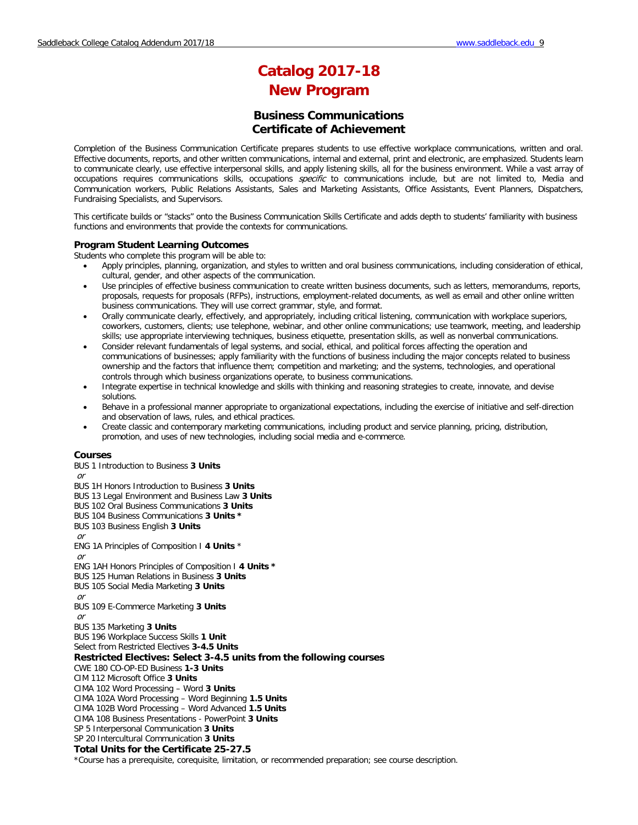# **Catalog 2017-18 New Program**

## **Business Communications Certificate of Achievement**

Completion of the Business Communication Certificate prepares students to use effective workplace communications, written and oral. Effective documents, reports, and other written communications, internal and external, print and electronic, are emphasized. Students learn to communicate clearly, use effective interpersonal skills, and apply listening skills, all for the business environment. While a vast array of occupations requires communications skills, occupations *specific* to communications include, but are not limited to, Media and Communication workers, Public Relations Assistants, Sales and Marketing Assistants, Office Assistants, Event Planners, Dispatchers, Fundraising Specialists, and Supervisors.

This certificate builds or "stacks" onto the Business Communication Skills Certificate and adds depth to students' familiarity with business functions and environments that provide the contexts for communications.

### **Program Student Learning Outcomes**

Students who complete this program will be able to:

- Apply principles, planning, organization, and styles to written and oral business communications, including consideration of ethical, cultural, gender, and other aspects of the communication.
- Use principles of effective business communication to create written business documents, such as letters, memorandums, reports, proposals, requests for proposals (RFPs), instructions, employment-related documents, as well as email and other online written business communications. They will use correct grammar, style, and format.
- Orally communicate clearly, effectively, and appropriately, including critical listening, communication with workplace superiors, coworkers, customers, clients; use telephone, webinar, and other online communications; use teamwork, meeting, and leadership skills; use appropriate interviewing techniques, business etiquette, presentation skills, as well as nonverbal communications.
- Consider relevant fundamentals of legal systems, and social, ethical, and political forces affecting the operation and communications of businesses; apply familiarity with the functions of business including the major concepts related to business ownership and the factors that influence them; competition and marketing; and the systems, technologies, and operational controls through which business organizations operate, to business communications.
- Integrate expertise in technical knowledge and skills with thinking and reasoning strategies to create, innovate, and devise solutions.
- Behave in a professional manner appropriate to organizational expectations, including the exercise of initiative and self-direction and observation of laws, rules, and ethical practices.
- Create classic and contemporary marketing communications, including product and service planning, pricing, distribution, promotion, and uses of new technologies, including social media and e-commerce.

### **Courses**

BUS 1 Introduction to Business **3 Units**

or

- BUS 1H Honors Introduction to Business **3 Units**
- BUS 13 Legal Environment and Business Law **3 Units**
- BUS 102 Oral Business Communications **3 Units**
- BUS 104 Business Communications **3 Units \***
- BUS 103 Business English **3 Units**
- or
- ENG 1A Principles of Composition I **4 Units** \*
- or
- ENG 1AH Honors Principles of Composition I **4 Units \***
- BUS 125 Human Relations in Business **3 Units**
- BUS 105 Social Media Marketing **3 Units**
- or
- BUS 109 E-Commerce Marketing **3 Units**
- or

BUS 135 Marketing **3 Units**

BUS 196 Workplace Success Skills **1 Unit**

Select from Restricted Electives **3-4.5 Units**

**Restricted Electives: Select 3-4.5 units from the following courses** 

CWE 180 CO-OP-ED Business **1-3 Units**

CIM 112 Microsoft Office **3 Units**

CIMA 102 Word Processing – Word **3 Units**

CIMA 102A Word Processing – Word Beginning **1.5 Units**

CIMA 102B Word Processing – Word Advanced **1.5 Units**

CIMA 108 Business Presentations - PowerPoint **3 Units**

SP 5 Interpersonal Communication **3 Units**

# SP 20 Intercultural Communication **3 Units**

**Total Units for the Certificate 25-27.5**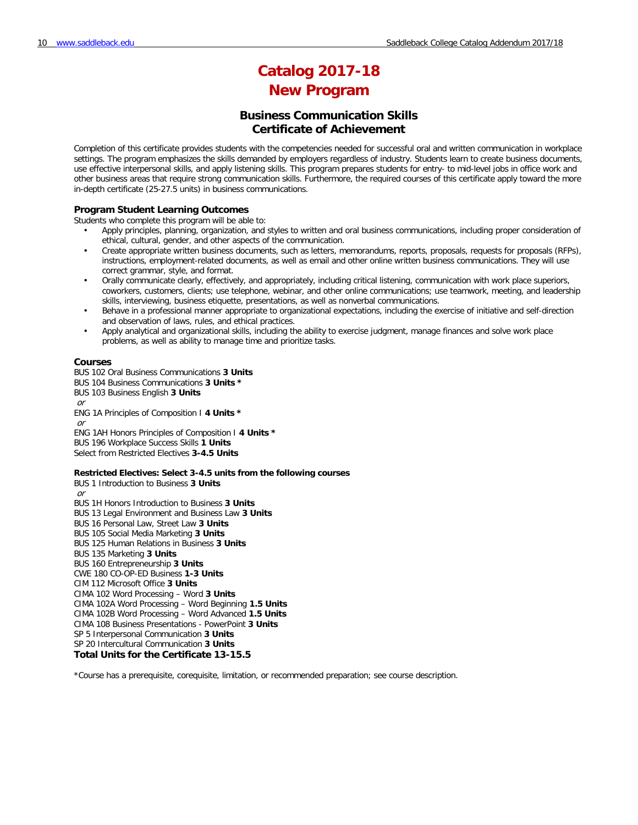# **Catalog 2017-18 New Program**

## **Business Communication Skills Certificate of Achievement**

Completion of this certificate provides students with the competencies needed for successful oral and written communication in workplace settings. The program emphasizes the skills demanded by employers regardless of industry. Students learn to create business documents, use effective interpersonal skills, and apply listening skills. This program prepares students for entry- to mid-level jobs in office work and other business areas that require strong communication skills. Furthermore, the required courses of this certificate apply toward the more in-depth certificate (25-27.5 units) in business communications.

### **Program Student Learning Outcomes**

Students who complete this program will be able to:

- Apply principles, planning, organization, and styles to written and oral business communications, including proper consideration of ethical, cultural, gender, and other aspects of the communication.
- Create appropriate written business documents, such as letters, memorandums, reports, proposals, requests for proposals (RFPs), instructions, employment-related documents, as well as email and other online written business communications. They will use correct grammar, style, and format.
- Orally communicate clearly, effectively, and appropriately, including critical listening, communication with work place superiors, coworkers, customers, clients; use telephone, webinar, and other online communications; use teamwork, meeting, and leadership skills, interviewing, business etiquette, presentations, as well as nonverbal communications.
- Behave in a professional manner appropriate to organizational expectations, including the exercise of initiative and self-direction and observation of laws, rules, and ethical practices.
- Apply analytical and organizational skills, including the ability to exercise judgment, manage finances and solve work place problems, as well as ability to manage time and prioritize tasks.

#### **Courses**

BUS 102 Oral Business Communications **3 Units**

- BUS 104 Business Communications **3 Units \***
- BUS 103 Business English **3 Units**

or ENG 1A Principles of Composition I **4 Units \*** or ENG 1AH Honors Principles of Composition I **4 Units \*** BUS 196 Workplace Success Skills **1 Units** Select from Restricted Electives **3-4.5 Units**

#### **Restricted Electives: Select 3-4.5 units from the following courses**

BUS 1 Introduction to Business **3 Units** or BUS 1H Honors Introduction to Business **3 Units** BUS 13 Legal Environment and Business Law **3 Units** BUS 16 Personal Law, Street Law **3 Units** BUS 105 Social Media Marketing **3 Units** BUS 125 Human Relations in Business **3 Units** BUS 135 Marketing **3 Units** BUS 160 Entrepreneurship **3 Units** CWE 180 CO-OP-ED Business **1-3 Units** CIM 112 Microsoft Office **3 Units** CIMA 102 Word Processing – Word **3 Units** CIMA 102A Word Processing – Word Beginning **1.5 Units** CIMA 102B Word Processing – Word Advanced **1.5 Units** CIMA 108 Business Presentations - PowerPoint **3 Units** SP 5 Interpersonal Communication **3 Units** SP 20 Intercultural Communication **3 Units Total Units for the Certificate 13-15.5**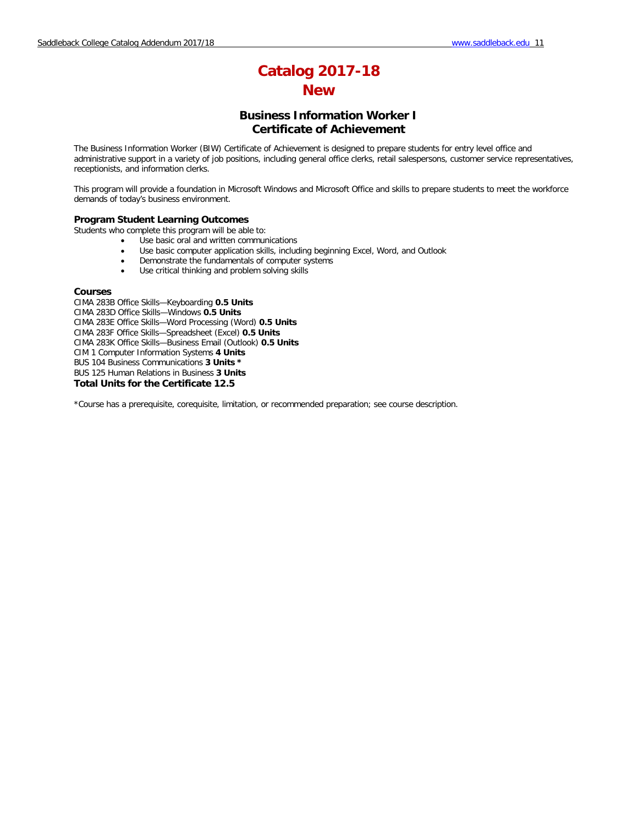# **Business Information Worker I Certificate of Achievement**

The Business Information Worker (BIW) Certificate of Achievement is designed to prepare students for entry level office and administrative support in a variety of job positions, including general office clerks, retail salespersons, customer service representatives, receptionists, and information clerks.

This program will provide a foundation in Microsoft Windows and Microsoft Office and skills to prepare students to meet the workforce demands of today's business environment.

### **Program Student Learning Outcomes**

Students who complete this program will be able to:

- Use basic oral and written communications
- Use basic computer application skills, including beginning Excel, Word, and Outlook
- Demonstrate the fundamentals of computer systems
- Use critical thinking and problem solving skills

### **Courses**

CIMA 283B Office Skills—Keyboarding **0.5 Units** CIMA 283D Office Skills—Windows **0.5 Units**  CIMA 283E Office Skills—Word Processing (Word) **0.5 Units** CIMA 283F Office Skills—Spreadsheet (Excel) **0.5 Units** CIMA 283K Office Skills—Business Email (Outlook) **0.5 Units** CIM 1 Computer Information Systems **4 Units** BUS 104 Business Communications **3 Units \*** BUS 125 Human Relations in Business **3 Units Total Units for the Certificate 12.5**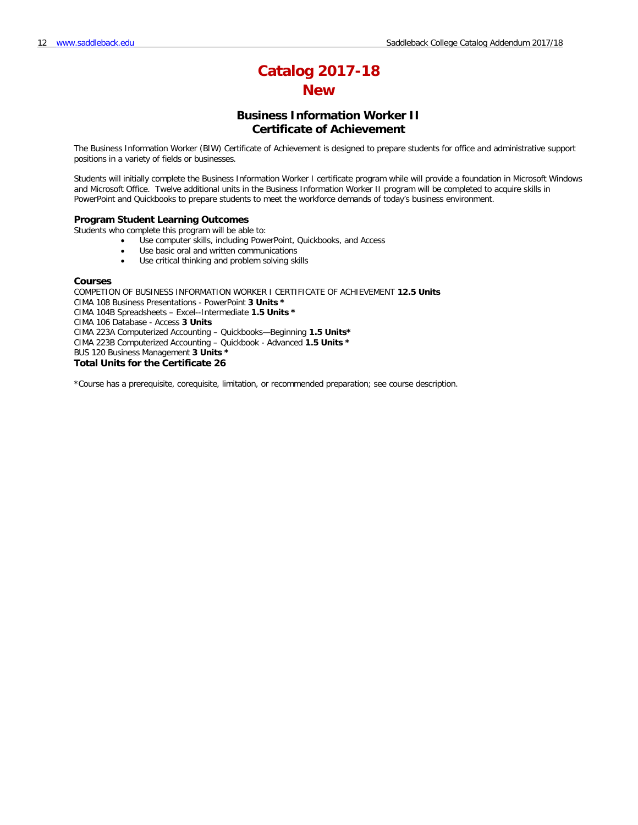# **Business Information Worker II Certificate of Achievement**

The Business Information Worker (BIW) Certificate of Achievement is designed to prepare students for office and administrative support positions in a variety of fields or businesses.

Students will initially complete the Business Information Worker I certificate program while will provide a foundation in Microsoft Windows and Microsoft Office. Twelve additional units in the Business Information Worker II program will be completed to acquire skills in PowerPoint and Quickbooks to prepare students to meet the workforce demands of today's business environment.

### **Program Student Learning Outcomes**

Students who complete this program will be able to:

- Use computer skills, including PowerPoint, Quickbooks, and Access
- Use basic oral and written communications
- Use critical thinking and problem solving skills

### **Courses**

COMPETION OF BUSINESS INFORMATION WORKER I CERTIFICATE OF ACHIEVEMENT **12.5 Units** CIMA 108 Business Presentations - PowerPoint **3 Units \*** CIMA 104B Spreadsheets – Excel--Intermediate **1.5 Units \*** CIMA 106 Database - Access **3 Units** CIMA 223A Computerized Accounting – Quickbooks—Beginning **1.5 Units\*** CIMA 223B Computerized Accounting – Quickbook - Advanced **1.5 Units \*** BUS 120 Business Management **3 Units \* Total Units for the Certificate 26**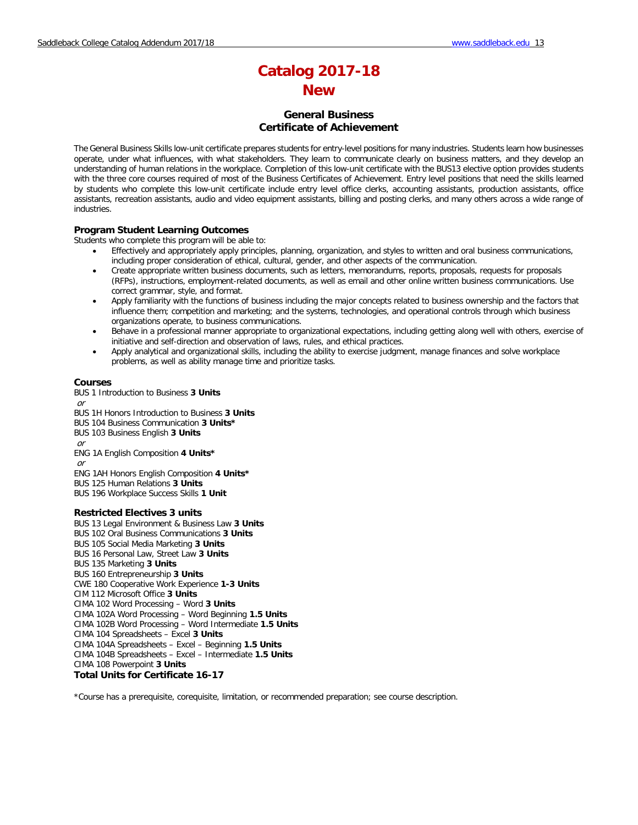## **General Business Certificate of Achievement**

The General Business Skills low-unit certificate prepares students for entry-level positions for many industries. Students learn how businesses operate, under what influences, with what stakeholders. They learn to communicate clearly on business matters, and they develop an understanding of human relations in the workplace. Completion of this low-unit certificate with the BUS13 elective option provides students with the three core courses required of most of the Business Certificates of Achievement. Entry level positions that need the skills learned by students who complete this low-unit certificate include entry level office clerks, accounting assistants, production assistants, office assistants, recreation assistants, audio and video equipment assistants, billing and posting clerks, and many others across a wide range of industries.

### **Program Student Learning Outcomes**

Students who complete this program will be able to:

- Effectively and appropriately apply principles, planning, organization, and styles to written and oral business communications, including proper consideration of ethical, cultural, gender, and other aspects of the communication.
- Create appropriate written business documents, such as letters, memorandums, reports, proposals, requests for proposals (RFPs), instructions, employment-related documents, as well as email and other online written business communications. Use correct grammar, style, and format.
- Apply familiarity with the functions of business including the major concepts related to business ownership and the factors that influence them; competition and marketing; and the systems, technologies, and operational controls through which business organizations operate, to business communications.
- Behave in a professional manner appropriate to organizational expectations, including getting along well with others, exercise of initiative and self-direction and observation of laws, rules, and ethical practices.
- Apply analytical and organizational skills, including the ability to exercise judgment, manage finances and solve workplace problems, as well as ability manage time and prioritize tasks.

### **Courses**

BUS 1 Introduction to Business **3 Units** or BUS 1H Honors Introduction to Business **3 Units**

- BUS 104 Business Communication **3 Units\***
- BUS 103 Business English **3 Units**

or

ENG 1A English Composition **4 Units\***

or

- ENG 1AH Honors English Composition **4 Units\***
- BUS 125 Human Relations **3 Units**
- BUS 196 Workplace Success Skills **1 Unit**

### **Restricted Electives 3 units**

BUS 13 Legal Environment & Business Law **3 Units** BUS 102 Oral Business Communications **3 Units** BUS 105 Social Media Marketing **3 Units** BUS 16 Personal Law, Street Law **3 Units** BUS 135 Marketing **3 Units** BUS 160 Entrepreneurship **3 Units** CWE 180 Cooperative Work Experience **1-3 Units** CIM 112 Microsoft Office **3 Units** CIMA 102 Word Processing – Word **3 Units** CIMA 102A Word Processing – Word Beginning **1.5 Units** CIMA 102B Word Processing – Word Intermediate **1.5 Units** CIMA 104 Spreadsheets – Excel **3 Units** CIMA 104A Spreadsheets – Excel – Beginning **1.5 Units** CIMA 104B Spreadsheets – Excel – Intermediate **1.5 Units** CIMA 108 Powerpoint **3 Units Total Units for Certificate 16-17**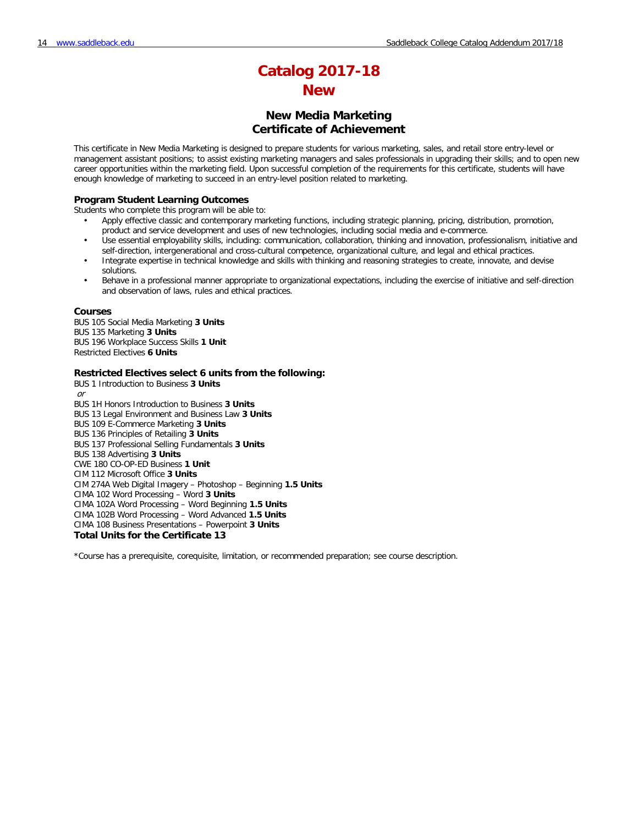## **New Media Marketing Certificate of Achievement**

This certificate in New Media Marketing is designed to prepare students for various marketing, sales, and retail store entry-level or management assistant positions; to assist existing marketing managers and sales professionals in upgrading their skills; and to open new career opportunities within the marketing field. Upon successful completion of the requirements for this certificate, students will have enough knowledge of marketing to succeed in an entry-level position related to marketing.

### **Program Student Learning Outcomes**

Students who complete this program will be able to:

- Apply effective classic and contemporary marketing functions, including strategic planning, pricing, distribution, promotion, product and service development and uses of new technologies, including social media and e-commerce.
- Use essential employability skills, including: communication, collaboration, thinking and innovation, professionalism, initiative and self-direction, intergenerational and cross-cultural competence, organizational culture, and legal and ethical practices.
- Integrate expertise in technical knowledge and skills with thinking and reasoning strategies to create, innovate, and devise solutions.
- Behave in a professional manner appropriate to organizational expectations, including the exercise of initiative and self-direction and observation of laws, rules and ethical practices.

### **Courses**

BUS 105 Social Media Marketing **3 Units** BUS 135 Marketing **3 Units** BUS 196 Workplace Success Skills **1 Unit** Restricted Electives **6 Units**

### **Restricted Electives select 6 units from the following:**

BUS 1 Introduction to Business **3 Units** or BUS 1H Honors Introduction to Business **3 Units** BUS 13 Legal Environment and Business Law **3 Units** BUS 109 E-Commerce Marketing **3 Units** BUS 136 Principles of Retailing **3 Units** BUS 137 Professional Selling Fundamentals **3 Units** BUS 138 Advertising **3 Units** CWE 180 CO-OP-ED Business **1 Unit** CIM 112 Microsoft Office **3 Units** CIM 274A Web Digital Imagery – Photoshop – Beginning **1.5 Units** CIMA 102 Word Processing – Word **3 Units** CIMA 102A Word Processing – Word Beginning **1.5 Units** CIMA 102B Word Processing – Word Advanced **1.5 Units** CIMA 108 Business Presentations – Powerpoint **3 Units Total Units for the Certificate 13**